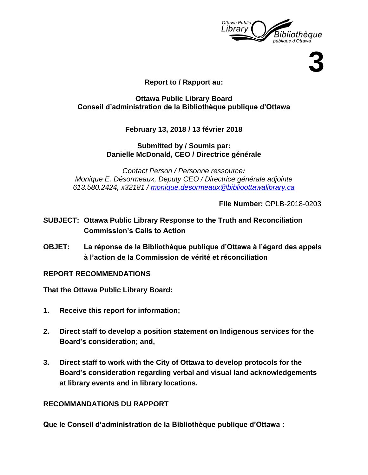

**3**

## **Report to / Rapport au:**

### **Ottawa Public Library Board Conseil d'administration de la Bibliothèque publique d'Ottawa**

**February 13, 2018 / 13 février 2018**

**Submitted by / Soumis par: Danielle McDonald, CEO / Directrice générale** 

*Contact Person / Personne ressource: Monique E. Désormeaux, Deputy CEO / Directrice générale adjointe 613.580.2424, x32181 / [monique.desormeaux@biblioottawalibrary.ca](mailto:monique.desormeaux@biblioottawalibrary.ca)*

**File Number:** OPLB-2018-0203

- **SUBJECT: Ottawa Public Library Response to the Truth and Reconciliation Commission's Calls to Action**
- **OBJET: La réponse de la Bibliothèque publique d'Ottawa à l'égard des appels à l'action de la Commission de vérité et réconciliation**

**REPORT RECOMMENDATIONS**

**That the Ottawa Public Library Board:**

- **1. Receive this report for information;**
- **2. Direct staff to develop a position statement on Indigenous services for the Board's consideration; and,**
- **3. Direct staff to work with the City of Ottawa to develop protocols for the Board's consideration regarding verbal and visual land acknowledgements at library events and in library locations.**

## **RECOMMANDATIONS DU RAPPORT**

**Que le Conseil d'administration de la Bibliothèque publique d'Ottawa :**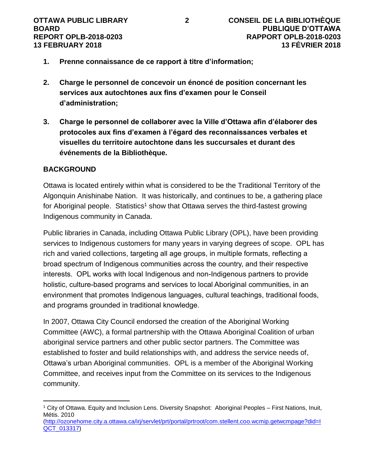- **1. Prenne connaissance de ce rapport à titre d'information;**
- **2. Charge le personnel de concevoir un énoncé de position concernant les services aux autochtones aux fins d'examen pour le Conseil d'administration;**
- **3. Charge le personnel de collaborer avec la Ville d'Ottawa afin d'élaborer des protocoles aux fins d'examen à l'égard des reconnaissances verbales et visuelles du territoire autochtone dans les succursales et durant des événements de la Bibliothèque.**

## **BACKGROUND**

Ottawa is located entirely within what is considered to be the Traditional Territory of the Algonquin Anishinabe Nation. It was historically, and continues to be, a gathering place for Aboriginal people. Statistics<sup>1</sup> show that Ottawa serves the third-fastest growing Indigenous community in Canada.

Public libraries in Canada, including Ottawa Public Library (OPL), have been providing services to Indigenous customers for many years in varying degrees of scope. OPL has rich and varied collections, targeting all age groups, in multiple formats, reflecting a broad spectrum of Indigenous communities across the country, and their respective interests. OPL works with local Indigenous and non-Indigenous partners to provide holistic, culture-based programs and services to local Aboriginal communities, in an environment that promotes Indigenous languages, cultural teachings, traditional foods, and programs grounded in traditional knowledge.

In 2007, Ottawa City Council endorsed the creation of the Aboriginal Working Committee (AWC), a formal partnership with the Ottawa Aboriginal Coalition of urban aboriginal service partners and other public sector partners. The Committee was established to foster and build relationships with, and address the service needs of, Ottawa's urban Aboriginal communities. OPL is a member of the Aboriginal Working Committee, and receives input from the Committee on its services to the Indigenous community.

 $\overline{a}$ <sup>1</sup> City of Ottawa. Equity and Inclusion Lens. Diversity Snapshot: Aboriginal Peoples – First Nations, Inuit, Métis. 2010

[<sup>\(</sup>http://ozonehome.city.a.ottawa.ca/irj/servlet/prt/portal/prtroot/com.stellent.coo.wcmip.getwcmpage?did=I](http://ozonehome.city.a.ottawa.ca/irj/servlet/prt/portal/prtroot/com.stellent.coo.wcmip.getwcmpage?did=IQCT_013317) [QCT\\_013317\)](http://ozonehome.city.a.ottawa.ca/irj/servlet/prt/portal/prtroot/com.stellent.coo.wcmip.getwcmpage?did=IQCT_013317)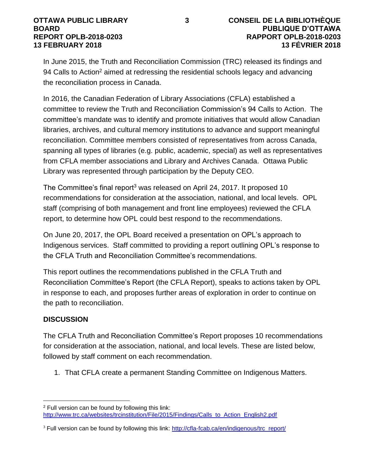In June 2015, the Truth and Reconciliation Commission (TRC) released its findings and 94 Calls to Action<sup>2</sup> aimed at redressing the residential schools legacy and advancing the reconciliation process in Canada.

In 2016, the Canadian Federation of Library Associations (CFLA) established a committee to review the Truth and Reconciliation Commission's 94 Calls to Action. The committee's mandate was to identify and promote initiatives that would allow Canadian libraries, archives, and cultural memory institutions to advance and support meaningful reconciliation. Committee members consisted of representatives from across Canada, spanning all types of libraries (e.g. public, academic, special) as well as representatives from CFLA member associations and Library and Archives Canada. Ottawa Public Library was represented through participation by the Deputy CEO.

The Committee's final report<sup>3</sup> was released on April 24, 2017. It proposed 10 recommendations for consideration at the association, national, and local levels. OPL staff (comprising of both management and front line employees) reviewed the CFLA report, to determine how OPL could best respond to the recommendations.

On June 20, 2017, the OPL Board received a presentation on OPL's approach to Indigenous services. Staff committed to providing a report outlining OPL's response to the CFLA Truth and Reconciliation Committee's recommendations.

This report outlines the recommendations published in the CFLA Truth and Reconciliation Committee's Report (the CFLA Report), speaks to actions taken by OPL in response to each, and proposes further areas of exploration in order to continue on the path to reconciliation.

# **DISCUSSION**

 $\overline{a}$ 

The CFLA Truth and Reconciliation Committee's Report proposes 10 recommendations for consideration at the association, national, and local levels. These are listed below, followed by staff comment on each recommendation.

1. That CFLA create a permanent Standing Committee on Indigenous Matters.

<sup>2</sup> Full version can be found by following this link: [http://www.trc.ca/websites/trcinstitution/File/2015/Findings/Calls\\_to\\_Action\\_English2.pdf](http://www.trc.ca/websites/trcinstitution/File/2015/Findings/Calls_to_Action_English2.pdf)

<sup>&</sup>lt;sup>3</sup> Full version can be found by following this link: [http://cfla-fcab.ca/en/indigenous/trc\\_report/](http://cfla-fcab.ca/en/indigenous/trc_report/)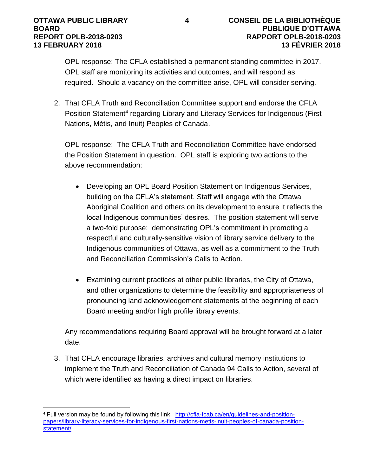OPL response: The CFLA established a permanent standing committee in 2017. OPL staff are monitoring its activities and outcomes, and will respond as required. Should a vacancy on the committee arise, OPL will consider serving.

2. That CFLA Truth and Reconciliation Committee support and endorse the CFLA Position Statement<sup>4</sup> regarding Library and Literacy Services for Indigenous (First Nations, Métis, and Inuit) Peoples of Canada.

OPL response: The CFLA Truth and Reconciliation Committee have endorsed the Position Statement in question. OPL staff is exploring two actions to the above recommendation:

- Developing an OPL Board Position Statement on Indigenous Services, building on the CFLA's statement. Staff will engage with the Ottawa Aboriginal Coalition and others on its development to ensure it reflects the local Indigenous communities' desires. The position statement will serve a two-fold purpose: demonstrating OPL's commitment in promoting a respectful and culturally-sensitive vision of library service delivery to the Indigenous communities of Ottawa, as well as a commitment to the Truth and Reconciliation Commission's Calls to Action.
- Examining current practices at other public libraries, the City of Ottawa, and other organizations to determine the feasibility and appropriateness of pronouncing land acknowledgement statements at the beginning of each Board meeting and/or high profile library events.

Any recommendations requiring Board approval will be brought forward at a later date.

3. That CFLA encourage libraries, archives and cultural memory institutions to implement the Truth and Reconciliation of Canada 94 Calls to Action, several of which were identified as having a direct impact on libraries.

 $\overline{a}$ <sup>4</sup> Full version may be found by following this link: [http://cfla-fcab.ca/en/guidelines-and-position](http://cfla-fcab.ca/en/guidelines-and-position-papers/library-literacy-services-for-indigenous-first-nations-metis-inuit-peoples-of-canada-position-statement/)[papers/library-literacy-services-for-indigenous-first-nations-metis-inuit-peoples-of-canada-position](http://cfla-fcab.ca/en/guidelines-and-position-papers/library-literacy-services-for-indigenous-first-nations-metis-inuit-peoples-of-canada-position-statement/)[statement/](http://cfla-fcab.ca/en/guidelines-and-position-papers/library-literacy-services-for-indigenous-first-nations-metis-inuit-peoples-of-canada-position-statement/)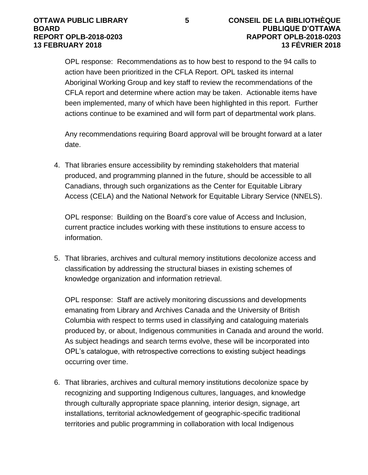OPL response: Recommendations as to how best to respond to the 94 calls to action have been prioritized in the CFLA Report. OPL tasked its internal Aboriginal Working Group and key staff to review the recommendations of the CFLA report and determine where action may be taken. Actionable items have been implemented, many of which have been highlighted in this report. Further actions continue to be examined and will form part of departmental work plans.

Any recommendations requiring Board approval will be brought forward at a later date.

4. That libraries ensure accessibility by reminding stakeholders that material produced, and programming planned in the future, should be accessible to all Canadians, through such organizations as the Center for Equitable Library Access (CELA) and the National Network for Equitable Library Service (NNELS).

OPL response: Building on the Board's core value of Access and Inclusion, current practice includes working with these institutions to ensure access to information.

5. That libraries, archives and cultural memory institutions decolonize access and classification by addressing the structural biases in existing schemes of knowledge organization and information retrieval.

OPL response: Staff are actively monitoring discussions and developments emanating from Library and Archives Canada and the University of British Columbia with respect to terms used in classifying and cataloguing materials produced by, or about, Indigenous communities in Canada and around the world. As subject headings and search terms evolve, these will be incorporated into OPL's catalogue, with retrospective corrections to existing subject headings occurring over time.

6. That libraries, archives and cultural memory institutions decolonize space by recognizing and supporting Indigenous cultures, languages, and knowledge through culturally appropriate space planning, interior design, signage, art installations, territorial acknowledgement of geographic-specific traditional territories and public programming in collaboration with local Indigenous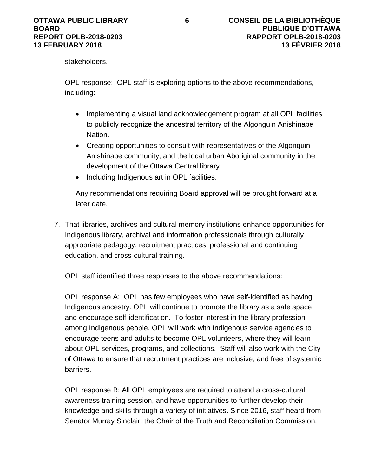stakeholders.

OPL response: OPL staff is exploring options to the above recommendations, including:

- Implementing a visual land acknowledgement program at all OPL facilities to publicly recognize the ancestral territory of the Algonguin Anishinabe Nation.
- Creating opportunities to consult with representatives of the Algonquin Anishinabe community, and the local urban Aboriginal community in the development of the Ottawa Central library.
- Including Indigenous art in OPL facilities.

Any recommendations requiring Board approval will be brought forward at a later date.

7. That libraries, archives and cultural memory institutions enhance opportunities for Indigenous library, archival and information professionals through culturally appropriate pedagogy, recruitment practices, professional and continuing education, and cross-cultural training.

OPL staff identified three responses to the above recommendations:

OPL response A: OPL has few employees who have self-identified as having Indigenous ancestry. OPL will continue to promote the library as a safe space and encourage self-identification. To foster interest in the library profession among Indigenous people, OPL will work with Indigenous service agencies to encourage teens and adults to become OPL volunteers, where they will learn about OPL services, programs, and collections. Staff will also work with the City of Ottawa to ensure that recruitment practices are inclusive, and free of systemic barriers.

OPL response B: All OPL employees are required to attend a cross-cultural awareness training session, and have opportunities to further develop their knowledge and skills through a variety of initiatives. Since 2016, staff heard from Senator Murray Sinclair, the Chair of the Truth and Reconciliation Commission,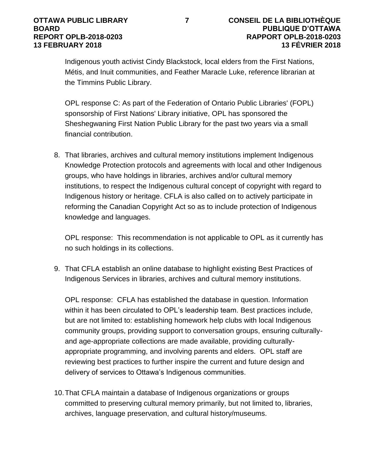Indigenous youth activist Cindy Blackstock, local elders from the First Nations, Métis, and Inuit communities, and Feather Maracle Luke, reference librarian at the Timmins Public Library.

OPL response C: As part of the Federation of Ontario Public Libraries' (FOPL) sponsorship of First Nations' Library initiative, OPL has sponsored the Sheshegwaning First Nation Public Library for the past two years via a small financial contribution.

8. That libraries, archives and cultural memory institutions implement Indigenous Knowledge Protection protocols and agreements with local and other Indigenous groups, who have holdings in libraries, archives and/or cultural memory institutions, to respect the Indigenous cultural concept of copyright with regard to Indigenous history or heritage. CFLA is also called on to actively participate in reforming the Canadian Copyright Act so as to include protection of Indigenous knowledge and languages.

OPL response: This recommendation is not applicable to OPL as it currently has no such holdings in its collections.

9. That CFLA establish an online database to highlight existing Best Practices of Indigenous Services in libraries, archives and cultural memory institutions.

OPL response: CFLA has established the database in question. Information within it has been circulated to OPL's leadership team. Best practices include, but are not limited to: establishing homework help clubs with local Indigenous community groups, providing support to conversation groups, ensuring culturallyand age-appropriate collections are made available, providing culturallyappropriate programming, and involving parents and elders. OPL staff are reviewing best practices to further inspire the current and future design and delivery of services to Ottawa's Indigenous communities.

10.That CFLA maintain a database of Indigenous organizations or groups committed to preserving cultural memory primarily, but not limited to, libraries, archives, language preservation, and cultural history/museums.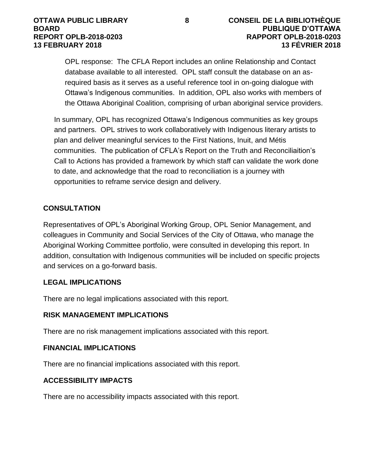OPL response: The CFLA Report includes an online Relationship and Contact database available to all interested. OPL staff consult the database on an asrequired basis as it serves as a useful reference tool in on-going dialogue with Ottawa's Indigenous communities. In addition, OPL also works with members of the Ottawa Aboriginal Coalition, comprising of urban aboriginal service providers.

In summary, OPL has recognized Ottawa's Indigenous communities as key groups and partners. OPL strives to work collaboratively with Indigenous literary artists to plan and deliver meaningful services to the First Nations, Inuit, and Métis communities. The publication of CFLA's Report on the Truth and Reconciliaition's Call to Actions has provided a framework by which staff can validate the work done to date, and acknowledge that the road to reconciliation is a journey with opportunities to reframe service design and delivery.

## **CONSULTATION**

Representatives of OPL's Aboriginal Working Group, OPL Senior Management, and colleagues in Community and Social Services of the City of Ottawa, who manage the Aboriginal Working Committee portfolio, were consulted in developing this report. In addition, consultation with Indigenous communities will be included on specific projects and services on a go-forward basis.

## **LEGAL IMPLICATIONS**

There are no legal implications associated with this report.

# **RISK MANAGEMENT IMPLICATIONS**

There are no risk management implications associated with this report.

## **FINANCIAL IMPLICATIONS**

There are no financial implications associated with this report.

## **ACCESSIBILITY IMPACTS**

There are no accessibility impacts associated with this report.